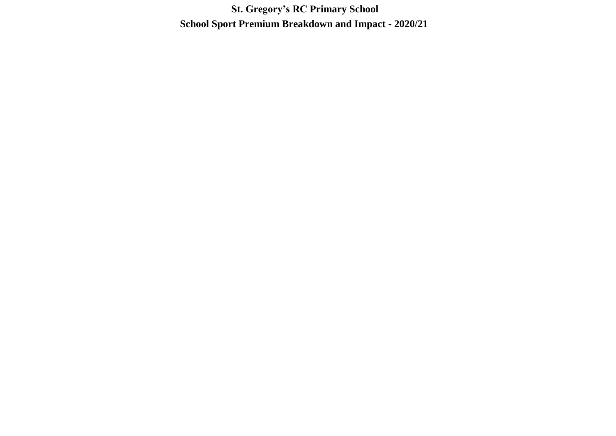**St. Gregory's RC Primary School School Sport Premium Breakdown and Impact - 2020/21**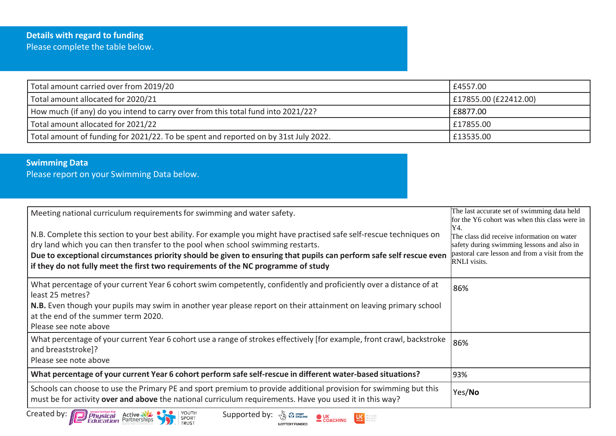| Total amount carried over from 2019/20                                              | £4557.00              |
|-------------------------------------------------------------------------------------|-----------------------|
| Total amount allocated for 2020/21                                                  | £17855.00 (£22412.00) |
| How much (if any) do you intend to carry over from this total fund into 2021/22?    | £8877.00              |
| Total amount allocated for 2021/22                                                  | £17855.00             |
| Total amount of funding for 2021/22. To be spent and reported on by 31st July 2022. | £13535.00             |

## **Swimming Data**

Please report on your Swimming Data below.

| Meeting national curriculum requirements for swimming and water safety.<br>N.B. Complete this section to your best ability. For example you might have practised safe self-rescue techniques on<br>dry land which you can then transfer to the pool when school swimming restarts.<br>Due to exceptional circumstances priority should be given to ensuring that pupils can perform safe self rescue even<br>if they do not fully meet the first two requirements of the NC programme of study | The last accurate set of swimming data held<br>for the Y6 cohort was when this class were in<br>Y4.<br>The class did receive information on water<br>safety during swimming lessons and also in<br>pastoral care lesson and from a visit from the<br><b>RNLI</b> visits. |
|------------------------------------------------------------------------------------------------------------------------------------------------------------------------------------------------------------------------------------------------------------------------------------------------------------------------------------------------------------------------------------------------------------------------------------------------------------------------------------------------|--------------------------------------------------------------------------------------------------------------------------------------------------------------------------------------------------------------------------------------------------------------------------|
| What percentage of your current Year 6 cohort swim competently, confidently and proficiently over a distance of at<br>least 25 metres?<br>N.B. Even though your pupils may swim in another year please report on their attainment on leaving primary school<br>at the end of the summer term 2020.<br>Please see note above                                                                                                                                                                    | 86%                                                                                                                                                                                                                                                                      |
| What percentage of your current Year 6 cohort use a range of strokes effectively [for example, front crawl, backstroke<br>and breaststroke]?<br>Please see note above                                                                                                                                                                                                                                                                                                                          | 86%                                                                                                                                                                                                                                                                      |
| What percentage of your current Year 6 cohort perform safe self-rescue in different water-based situations?                                                                                                                                                                                                                                                                                                                                                                                    | 93%                                                                                                                                                                                                                                                                      |
| Schools can choose to use the Primary PE and sport premium to provide additional provision for swimming but this<br>must be for activity over and above the national curriculum requirements. Have you used it in this way?                                                                                                                                                                                                                                                                    | Yes/No                                                                                                                                                                                                                                                                   |
| Created by: /<br>Supported by:<br>SPORT<br>COACHING<br><b>TRUST</b>                                                                                                                                                                                                                                                                                                                                                                                                                            |                                                                                                                                                                                                                                                                          |

**LOTTERY FUNDED** 



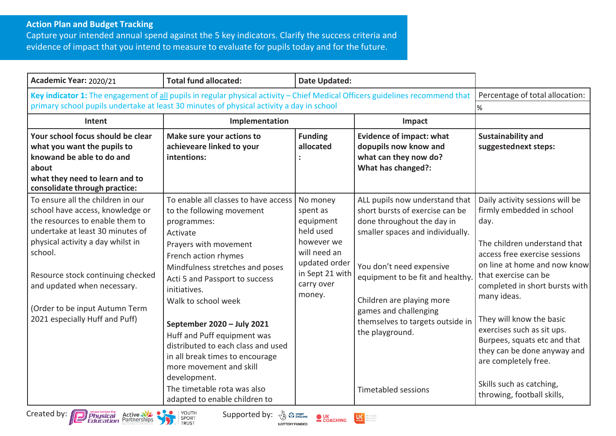## **Action Plan and Budget Tracking**

Capture your intended annual spend against the 5 key indicators. Clarify the success criteria and evidence of impact that you intend to measure to evaluate for pupils today and for the future.

| Academic Year: 2020/21                                                                                                                                                                                                                                                                                                               | <b>Total fund allocated:</b><br><b>Date Updated:</b>                                                                                                                                                                                                                                                                                                                                                                                                                      |                                                                                                                                          |                                                                                                                                                                                                                                                                                                                                                |                                                                                                                                                                                                                                                                                                                                                                                                                                                           |
|--------------------------------------------------------------------------------------------------------------------------------------------------------------------------------------------------------------------------------------------------------------------------------------------------------------------------------------|---------------------------------------------------------------------------------------------------------------------------------------------------------------------------------------------------------------------------------------------------------------------------------------------------------------------------------------------------------------------------------------------------------------------------------------------------------------------------|------------------------------------------------------------------------------------------------------------------------------------------|------------------------------------------------------------------------------------------------------------------------------------------------------------------------------------------------------------------------------------------------------------------------------------------------------------------------------------------------|-----------------------------------------------------------------------------------------------------------------------------------------------------------------------------------------------------------------------------------------------------------------------------------------------------------------------------------------------------------------------------------------------------------------------------------------------------------|
| Key indicator 1: The engagement of all pupils in regular physical activity - Chief Medical Officers guidelines recommend that<br>primary school pupils undertake at least 30 minutes of physical activity a day in school                                                                                                            | Percentage of total allocation:<br>%                                                                                                                                                                                                                                                                                                                                                                                                                                      |                                                                                                                                          |                                                                                                                                                                                                                                                                                                                                                |                                                                                                                                                                                                                                                                                                                                                                                                                                                           |
| Intent                                                                                                                                                                                                                                                                                                                               | Implementation                                                                                                                                                                                                                                                                                                                                                                                                                                                            |                                                                                                                                          | Impact                                                                                                                                                                                                                                                                                                                                         |                                                                                                                                                                                                                                                                                                                                                                                                                                                           |
| Your school focus should be clear<br>what you want the pupils to<br>knowand be able to do and<br>about<br>what they need to learn and to<br>consolidate through practice:                                                                                                                                                            | Make sure your actions to<br>achieveare linked to your<br>intentions:                                                                                                                                                                                                                                                                                                                                                                                                     | <b>Funding</b><br>allocated                                                                                                              | <b>Evidence of impact: what</b><br>dopupils now know and<br>what can they now do?<br>What has changed?:                                                                                                                                                                                                                                        | <b>Sustainability and</b><br>suggestednext steps:                                                                                                                                                                                                                                                                                                                                                                                                         |
| To ensure all the children in our<br>school have access, knowledge or<br>the resources to enable them to<br>undertake at least 30 minutes of<br>physical activity a day whilst in<br>school.<br>Resource stock continuing checked<br>and updated when necessary.<br>(Order to be input Autumn Term<br>2021 especially Huff and Puff) | To enable all classes to have access<br>to the following movement<br>programmes:<br>Activate<br>Prayers with movement<br>French action rhymes<br>Mindfulness stretches and poses<br>Acti 5 and Passport to success<br>initiatives.<br>Walk to school week<br>September 2020 - July 2021<br>Huff and Puff equipment was<br>distributed to each class and used<br>in all break times to encourage<br>more movement and skill<br>development.<br>The timetable rota was also | No money<br>spent as<br>equipment<br>held used<br>however we<br>will need an<br>updated order<br>in Sept 21 with<br>carry over<br>money. | ALL pupils now understand that<br>short bursts of exercise can be<br>done throughout the day in<br>smaller spaces and individually.<br>You don't need expensive<br>equipment to be fit and healthy.<br>Children are playing more<br>games and challenging<br>themselves to targets outside in<br>the playground.<br><b>Timetabled sessions</b> | Daily activity sessions will be<br>firmly embedded in school<br>day.<br>The children understand that<br>access free exercise sessions<br>on line at home and now know<br>that exercise can be<br>completed in short bursts with<br>many ideas.<br>They will know the basic<br>exercises such as sit ups.<br>Burpees, squats etc and that<br>they can be done anyway and<br>are completely free.<br>Skills such as catching,<br>throwing, football skills, |





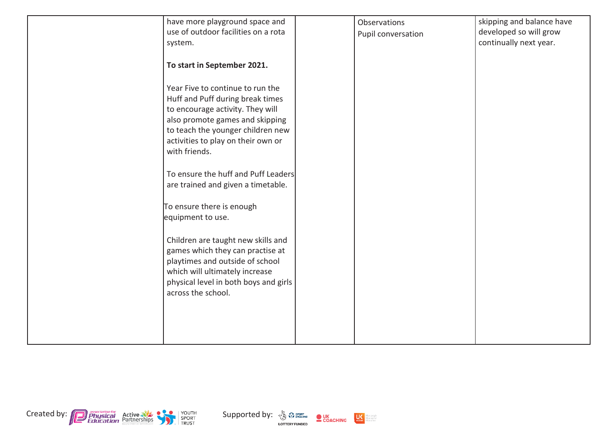| have more playground space and<br>use of outdoor facilities on a rota<br>system.                                                                                                                           | Observations<br>Pupil conversation | skipping and balance have<br>developed so will grow<br>continually next year. |
|------------------------------------------------------------------------------------------------------------------------------------------------------------------------------------------------------------|------------------------------------|-------------------------------------------------------------------------------|
| To start in September 2021.                                                                                                                                                                                |                                    |                                                                               |
| Year Five to continue to run the<br>Huff and Puff during break times<br>to encourage activity. They will                                                                                                   |                                    |                                                                               |
| also promote games and skipping<br>to teach the younger children new<br>activities to play on their own or<br>with friends.                                                                                |                                    |                                                                               |
| To ensure the huff and Puff Leaders<br>are trained and given a timetable.                                                                                                                                  |                                    |                                                                               |
| To ensure there is enough<br>equipment to use.                                                                                                                                                             |                                    |                                                                               |
| Children are taught new skills and<br>games which they can practise at<br>playtimes and outside of school<br>which will ultimately increase<br>physical level in both boys and girls<br>across the school. |                                    |                                                                               |
|                                                                                                                                                                                                            |                                    |                                                                               |





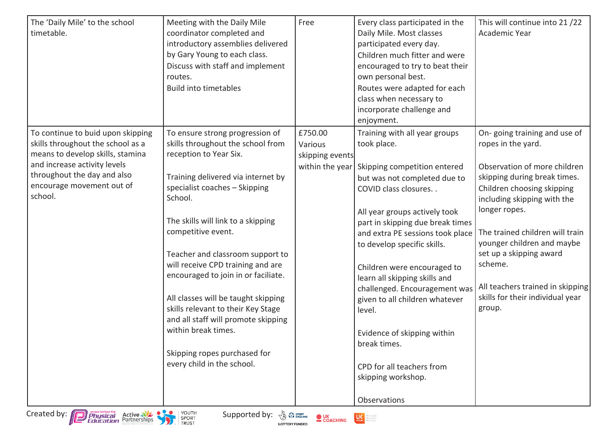| The 'Daily Mile' to the school<br>timetable.                                                                                                                                                                      | Meeting with the Daily Mile<br>coordinator completed and<br>introductory assemblies delivered<br>by Gary Young to each class.<br>Discuss with staff and implement<br>routes.<br><b>Build into timetables</b>                                                                                                                                                                                                                                                                                                                                                          | Free                                                     | Every class participated in the<br>Daily Mile. Most classes<br>participated every day.<br>Children much fitter and were<br>encouraged to try to beat their<br>own personal best.<br>Routes were adapted for each<br>class when necessary to<br>incorporate challenge and<br>enjoyment.                                                                                                                                                                                                                                                         | This will continue into 21/22<br>Academic Year                                                                                                                                                                                                                                                                                                                                            |
|-------------------------------------------------------------------------------------------------------------------------------------------------------------------------------------------------------------------|-----------------------------------------------------------------------------------------------------------------------------------------------------------------------------------------------------------------------------------------------------------------------------------------------------------------------------------------------------------------------------------------------------------------------------------------------------------------------------------------------------------------------------------------------------------------------|----------------------------------------------------------|------------------------------------------------------------------------------------------------------------------------------------------------------------------------------------------------------------------------------------------------------------------------------------------------------------------------------------------------------------------------------------------------------------------------------------------------------------------------------------------------------------------------------------------------|-------------------------------------------------------------------------------------------------------------------------------------------------------------------------------------------------------------------------------------------------------------------------------------------------------------------------------------------------------------------------------------------|
| To continue to buid upon skipping<br>skills throughout the school as a<br>means to develop skills, stamina<br>and increase activity levels<br>throughout the day and also<br>encourage movement out of<br>school. | To ensure strong progression of<br>skills throughout the school from<br>reception to Year Six.<br>Training delivered via internet by<br>specialist coaches - Skipping<br>School.<br>The skills will link to a skipping<br>competitive event.<br>Teacher and classroom support to<br>will receive CPD training and are<br>encouraged to join in or faciliate.<br>All classes will be taught skipping<br>skills relevant to their Key Stage<br>and all staff will promote skipping<br>within break times.<br>Skipping ropes purchased for<br>every child in the school. | £750.00<br>Various<br>skipping events<br>within the year | Training with all year groups<br>took place.<br>Skipping competition entered<br>but was not completed due to<br>COVID class closures. .<br>All year groups actively took<br>part in skipping due break times<br>and extra PE sessions took place<br>to develop specific skills.<br>Children were encouraged to<br>learn all skipping skills and<br>challenged. Encouragement was<br>given to all children whatever<br>level.<br>Evidence of skipping within<br>break times.<br>CPD for all teachers from<br>skipping workshop.<br>Observations | On-going training and use of<br>ropes in the yard.<br>Observation of more children<br>skipping during break times.<br>Children choosing skipping<br>including skipping with the<br>longer ropes.<br>The trained children will train<br>younger children and maybe<br>set up a skipping award<br>scheme.<br>All teachers trained in skipping<br>skills for their individual year<br>group. |



Created by: **Physical Physical Active State CONCITE SUPPORT** Supported by: **Second CONCITE CONCHING LAS** 

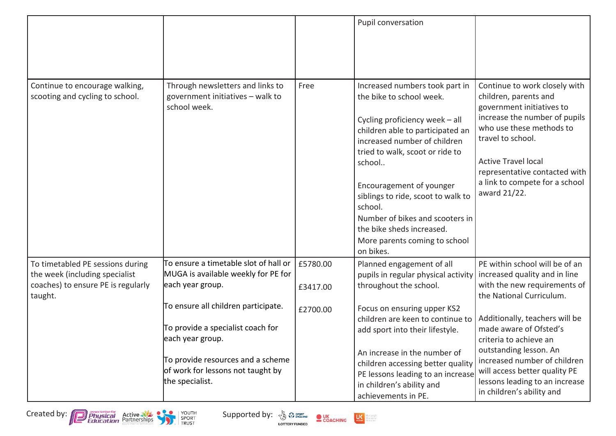|                                                                                                                     |                                                                                                                                                                                           |                      | Pupil conversation                                                                                                                                                                                                                                                                                                                                                                                       |                                                                                                                                                                                                                                                                                        |
|---------------------------------------------------------------------------------------------------------------------|-------------------------------------------------------------------------------------------------------------------------------------------------------------------------------------------|----------------------|----------------------------------------------------------------------------------------------------------------------------------------------------------------------------------------------------------------------------------------------------------------------------------------------------------------------------------------------------------------------------------------------------------|----------------------------------------------------------------------------------------------------------------------------------------------------------------------------------------------------------------------------------------------------------------------------------------|
| Continue to encourage walking,<br>scooting and cycling to school.                                                   | Through newsletters and links to<br>government initiatives - walk to<br>school week.                                                                                                      | Free                 | Increased numbers took part in<br>the bike to school week.<br>Cycling proficiency week - all<br>children able to participated an<br>increased number of children<br>tried to walk, scoot or ride to<br>school<br>Encouragement of younger<br>siblings to ride, scoot to walk to<br>school.<br>Number of bikes and scooters in<br>the bike sheds increased.<br>More parents coming to school<br>on bikes. | Continue to work closely with<br>children, parents and<br>government initiatives to<br>increase the number of pupils<br>who use these methods to<br>travel to school.<br><b>Active Travel local</b><br>representative contacted with<br>a link to compete for a school<br>award 21/22. |
| To timetabled PE sessions during<br>the week (including specialist<br>coaches) to ensure PE is regularly<br>taught. | $\overline{\text{To}}$ ensure a timetable slot of hall or<br>MUGA is available weekly for PE for<br>each year group.                                                                      | £5780.00<br>£3417.00 | Planned engagement of all<br>pupils in regular physical activity<br>throughout the school.                                                                                                                                                                                                                                                                                                               | PE within school will be of an<br>increased quality and in line<br>with the new requirements of<br>the National Curriculum.                                                                                                                                                            |
|                                                                                                                     | To ensure all children participate.<br>To provide a specialist coach for<br>each year group.<br>To provide resources and a scheme<br>of work for lessons not taught by<br>the specialist. | £2700.00             | Focus on ensuring upper KS2<br>children are keen to continue to<br>add sport into their lifestyle.<br>An increase in the number of<br>children accessing better quality<br>PE lessons leading to an increase<br>in children's ability and<br>achievements in PE.                                                                                                                                         | Additionally, teachers will be<br>made aware of Ofsted's<br>criteria to achieve an<br>outstanding lesson. An<br>increased number of children<br>will access better quality PE<br>lessons leading to an increase<br>in children's ability and                                           |





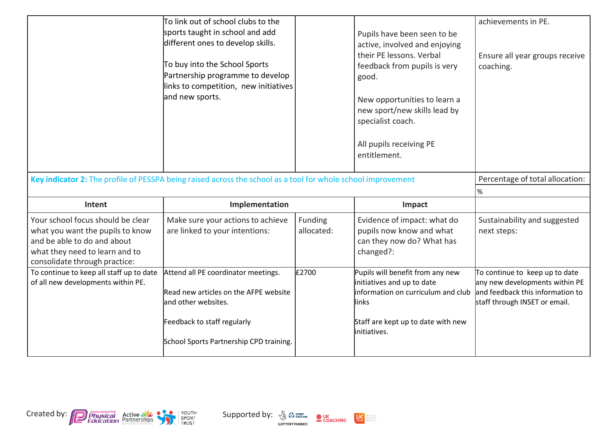|                                                                                                                                                                         | To link out of school clubs to the<br>sports taught in school and add<br>different ones to develop skills.<br>To buy into the School Sports<br>Partnership programme to develop<br>links to competition, new initiatives<br>and new sports. |                       | Pupils have been seen to be<br>active, involved and enjoying<br>their PE lessons. Verbal<br>feedback from pupils is very<br>good.<br>New opportunities to learn a<br>new sport/new skills lead by<br>specialist coach.<br>All pupils receiving PE<br>entitlement. | achievements in PE.<br>Ensure all year groups receive<br>coaching.                                                                    |
|-------------------------------------------------------------------------------------------------------------------------------------------------------------------------|---------------------------------------------------------------------------------------------------------------------------------------------------------------------------------------------------------------------------------------------|-----------------------|-------------------------------------------------------------------------------------------------------------------------------------------------------------------------------------------------------------------------------------------------------------------|---------------------------------------------------------------------------------------------------------------------------------------|
| Key indicator 2: The profile of PESSPA being raised across the school as a tool for whole school improvement                                                            |                                                                                                                                                                                                                                             |                       |                                                                                                                                                                                                                                                                   | Percentage of total allocation:                                                                                                       |
| Intent                                                                                                                                                                  | Implementation                                                                                                                                                                                                                              |                       | Impact                                                                                                                                                                                                                                                            | $\%$                                                                                                                                  |
| Your school focus should be clear<br>what you want the pupils to know<br>and be able to do and about<br>what they need to learn and to<br>consolidate through practice: | Make sure your actions to achieve<br>are linked to your intentions:                                                                                                                                                                         | Funding<br>allocated: | Evidence of impact: what do<br>pupils now know and what<br>can they now do? What has<br>changed?:                                                                                                                                                                 | Sustainability and suggested<br>next steps:                                                                                           |
| To continue to keep all staff up to date<br>of all new developments within PE.                                                                                          | Attend all PE coordinator meetings.<br>Read new articles on the AFPE website<br>and other websites.<br>Feedback to staff regularly<br>School Sports Partnership CPD training.                                                               | £2700                 | Pupils will benefit from any new<br>initiatives and up to date<br>information on curriculum and club<br>links<br>Staff are kept up to date with new<br>initiatives.                                                                                               | To continue to keep up to date<br>any new developments within PE<br>and feedback this information to<br>staff through INSET or email. |
|                                                                                                                                                                         |                                                                                                                                                                                                                                             |                       |                                                                                                                                                                                                                                                                   |                                                                                                                                       |





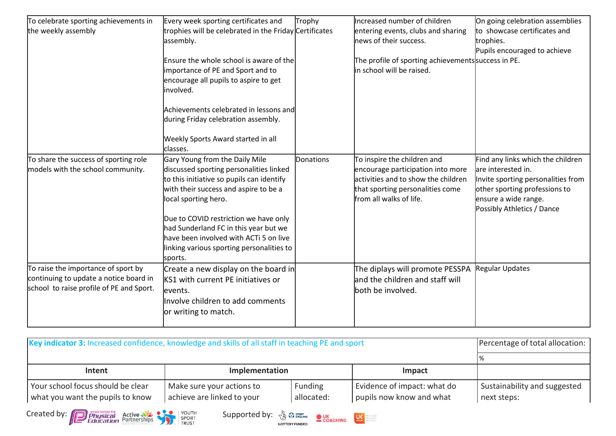| To celebrate sporting achievements in                                                                                     | Every week sporting certificates and                                                                                                                                                                                                                                                                                                                                        | Trophy    | Increased number of children                                                                                                                                           | On going celebration assemblies                                                                                                                                                      |
|---------------------------------------------------------------------------------------------------------------------------|-----------------------------------------------------------------------------------------------------------------------------------------------------------------------------------------------------------------------------------------------------------------------------------------------------------------------------------------------------------------------------|-----------|------------------------------------------------------------------------------------------------------------------------------------------------------------------------|--------------------------------------------------------------------------------------------------------------------------------------------------------------------------------------|
| the weekly assembly                                                                                                       | trophies will be celebrated in the Friday Certificates<br>assembly.                                                                                                                                                                                                                                                                                                         |           | entering events, clubs and sharing<br>news of their success.                                                                                                           | to showcase certificates and<br>trophies.<br>Pupils encouraged to achieve                                                                                                            |
|                                                                                                                           | Ensure the whole school is aware of the<br>importance of PE and Sport and to<br>encourage all pupils to aspire to get<br>involved.<br>Achievements celebrated in lessons and                                                                                                                                                                                                |           | The profile of sporting achievements success in PE.<br>in school will be raised.                                                                                       |                                                                                                                                                                                      |
|                                                                                                                           | during Friday celebration assembly.<br>Weekly Sports Award started in all<br>classes.                                                                                                                                                                                                                                                                                       |           |                                                                                                                                                                        |                                                                                                                                                                                      |
| To share the success of sporting role<br>models with the school community.                                                | Gary Young from the Daily Mile<br>discussed sporting personalities linked<br>to this initiative so pupils can identify<br>with their success and aspire to be a<br>local sporting hero.<br>Due to COVID restriction we have only<br>had Sunderland FC in this year but we<br>have been involved with ACTi 5 on live<br>linking various sporting personalities to<br>sports. | Donations | To inspire the children and<br>encourage participation into more<br>activities and to show the children<br>that sporting personalities come<br>from all walks of life. | Find any links which the children<br>are interested in.<br>Invite sporting personalities from<br>other sporting professions to<br>ensure a wide range.<br>Possibly Athletics / Dance |
| To raise the importance of sport by<br>continuing to update a notice board in<br>school to raise profile of PE and Sport. | Create a new display on the board in<br><b>KS1</b> with current PE initiatives or<br>levents.<br>linvolve children to add comments<br>or writing to match.                                                                                                                                                                                                                  |           | The diplays will promote PESSPA<br>land the children and staff will<br>both be involved.                                                                               | <b>Regular Updates</b>                                                                                                                                                               |

| Key indicator 3: Increased confidence, knowledge and skills of all staff in teaching PE and sport | Percentage of total allocation:                         |                                             |
|---------------------------------------------------------------------------------------------------|---------------------------------------------------------|---------------------------------------------|
|                                                                                                   |                                                         |                                             |
| Intent                                                                                            | Implementation                                          |                                             |
| Your school focus should be clear<br>what you want the pupils to know                             | Make sure your actions to<br>achieve are linked to your | Sustainability and suggested<br>next steps: |





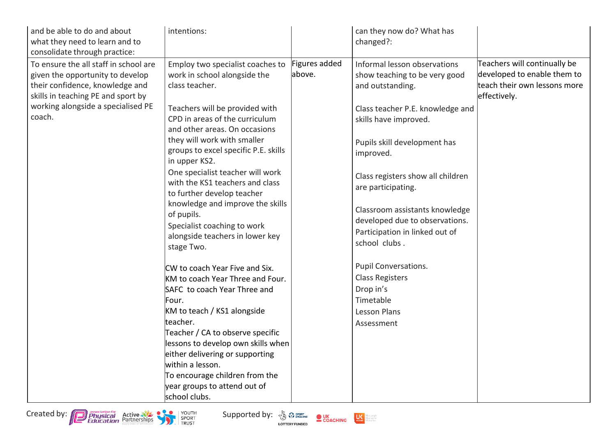| and be able to do and about<br>what they need to learn and to<br>consolidate through practice:                                                                                           | intentions:                                                                                                                                                                                                                                                                                                                                                                |                         | can they now do? What has<br>changed?:                                                                                |                                                                                                             |
|------------------------------------------------------------------------------------------------------------------------------------------------------------------------------------------|----------------------------------------------------------------------------------------------------------------------------------------------------------------------------------------------------------------------------------------------------------------------------------------------------------------------------------------------------------------------------|-------------------------|-----------------------------------------------------------------------------------------------------------------------|-------------------------------------------------------------------------------------------------------------|
| To ensure the all staff in school are<br>given the opportunity to develop<br>their confidence, knowledge and<br>skills in teaching PE and sport by<br>working alongside a specialised PE | Employ two specialist coaches to<br>work in school alongside the<br>class teacher.<br>Teachers will be provided with                                                                                                                                                                                                                                                       | Figures added<br>above. | Informal lesson observations<br>show teaching to be very good<br>and outstanding.<br>Class teacher P.E. knowledge and | Teachers will continually be<br>developed to enable them to<br>teach their own lessons more<br>effectively. |
| coach.                                                                                                                                                                                   | CPD in areas of the curriculum<br>and other areas. On occasions                                                                                                                                                                                                                                                                                                            |                         | skills have improved.                                                                                                 |                                                                                                             |
|                                                                                                                                                                                          | they will work with smaller<br>groups to excel specific P.E. skills<br>in upper KS2.                                                                                                                                                                                                                                                                                       |                         | Pupils skill development has<br>improved.                                                                             |                                                                                                             |
|                                                                                                                                                                                          | One specialist teacher will work<br>with the KS1 teachers and class<br>to further develop teacher                                                                                                                                                                                                                                                                          |                         | Class registers show all children<br>are participating.                                                               |                                                                                                             |
|                                                                                                                                                                                          | knowledge and improve the skills<br>of pupils.<br>Specialist coaching to work<br>alongside teachers in lower key<br>stage Two.                                                                                                                                                                                                                                             |                         | Classroom assistants knowledge<br>developed due to observations.<br>Participation in linked out of<br>school clubs.   |                                                                                                             |
|                                                                                                                                                                                          | CW to coach Year Five and Six.<br>KM to coach Year Three and Four.<br>SAFC to coach Year Three and<br>Four.<br>KM to teach / KS1 alongside<br>teacher.<br>Teacher / CA to observe specific<br>lessons to develop own skills when<br>either delivering or supporting<br>within a lesson.<br>To encourage children from the<br>year groups to attend out of<br>school clubs. |                         | Pupil Conversations.<br><b>Class Registers</b><br>Drop in's<br>Timetable<br><b>Lesson Plans</b><br>Assessment         |                                                                                                             |



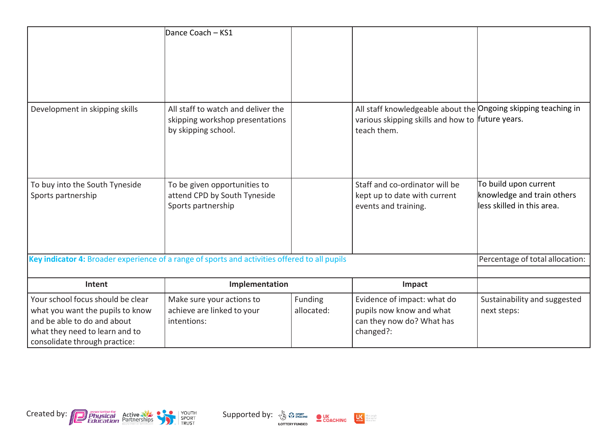|                                                                                                                                                                         | Dance Coach - KS1                                                                            |                       |                                                                                                                                   |                                                                                    |
|-------------------------------------------------------------------------------------------------------------------------------------------------------------------------|----------------------------------------------------------------------------------------------|-----------------------|-----------------------------------------------------------------------------------------------------------------------------------|------------------------------------------------------------------------------------|
| Development in skipping skills                                                                                                                                          | All staff to watch and deliver the<br>skipping workshop presentations<br>by skipping school. |                       | All staff knowledgeable about the Ongoing skipping teaching in<br>various skipping skills and how to future years.<br>teach them. |                                                                                    |
| To buy into the South Tyneside<br>Sports partnership                                                                                                                    | To be given opportunities to<br>attend CPD by South Tyneside<br>Sports partnership           |                       | Staff and co-ordinator will be<br>kept up to date with current<br>events and training.                                            | To build upon current<br>knowledge and train others<br>lless skilled in this area. |
| Key indicator 4: Broader experience of a range of sports and activities offered to all pupils                                                                           |                                                                                              |                       |                                                                                                                                   | Percentage of total allocation:                                                    |
| Intent                                                                                                                                                                  | Implementation                                                                               |                       | Impact                                                                                                                            |                                                                                    |
| Your school focus should be clear<br>what you want the pupils to know<br>and be able to do and about<br>what they need to learn and to<br>consolidate through practice: | Make sure your actions to<br>achieve are linked to your<br>intentions:                       | Funding<br>allocated: | Evidence of impact: what do<br>pupils now know and what<br>can they now do? What has<br>changed?:                                 | Sustainability and suggested<br>next steps:                                        |





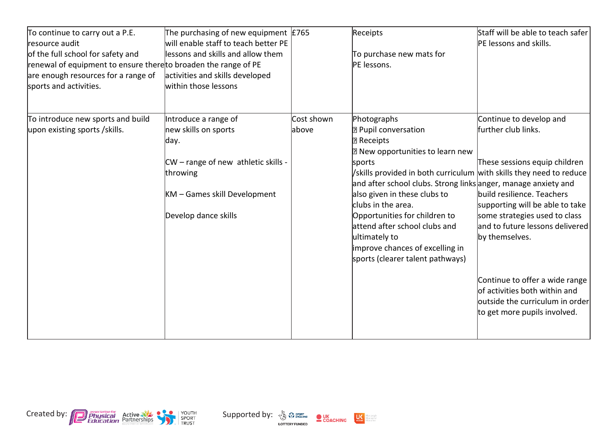| To continue to carry out a P.E.<br>resource audit<br>of the full school for safety and<br>renewal of equipment to ensure there to broaden the range of PE<br>are enough resources for a range of<br>sports and activities. | The purchasing of new equipment $ E765 $<br>will enable staff to teach better PE<br>lessons and skills and allow them<br>activities and skills developed<br>within those Iessons |                     | Receipts<br>To purchase new mats for<br>PE lessons.                                                                                                                                                                                                                                                                                                                                                                                                                  | Staff will be able to teach safer<br>PE lessons and skills.                                                                                                                                                                                                                                                                                                                  |
|----------------------------------------------------------------------------------------------------------------------------------------------------------------------------------------------------------------------------|----------------------------------------------------------------------------------------------------------------------------------------------------------------------------------|---------------------|----------------------------------------------------------------------------------------------------------------------------------------------------------------------------------------------------------------------------------------------------------------------------------------------------------------------------------------------------------------------------------------------------------------------------------------------------------------------|------------------------------------------------------------------------------------------------------------------------------------------------------------------------------------------------------------------------------------------------------------------------------------------------------------------------------------------------------------------------------|
| To introduce new sports and build<br>upon existing sports / skills.                                                                                                                                                        | Introduce a range of<br>new skills on sports<br>day.<br>$CW$ – range of new athletic skills -<br>throwing<br>KM - Games skill Development<br>Develop dance skills                | Cost shown<br>above | Photographs<br><b>P</b> Pupil conversation<br><b>Receipts</b><br>2 New opportunities to learn new<br>sports<br>/skills provided in both curriculum with skills they need to reduce<br>and after school clubs. Strong links anger, manage anxiety and<br>also given in these clubs to<br>clubs in the area.<br>Opportunities for children to<br>attend after school clubs and<br>ultimately to<br>improve chances of excelling in<br>sports (clearer talent pathways) | Continue to develop and<br>further club links.<br>These sessions equip children<br>build resilience. Teachers<br>supporting will be able to take<br>some strategies used to class<br>and to future lessons delivered<br>by themselves.<br>Continue to offer a wide range<br>of activities both within and<br>outside the curriculum in order<br>to get more pupils involved. |



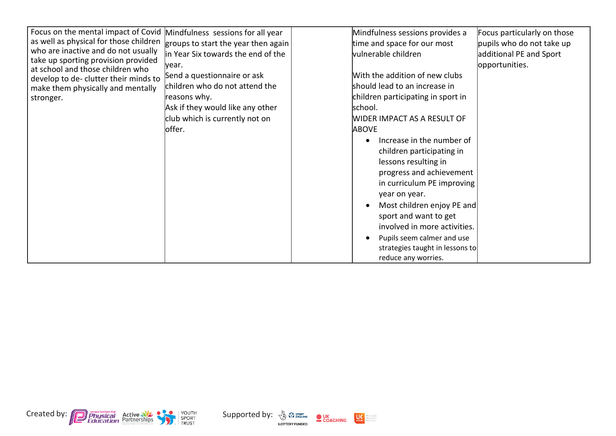| Focus on the mental impact of Covid<br>as well as physical for those children<br>who are inactive and do not usually<br>take up sporting provision provided<br>at school and those children who<br>develop to de- clutter their minds to<br>make them physically and mentally<br>stronger. | Mindfulness sessions for all year<br>groups to start the year then again<br>in Year Six towards the end of the<br>vear.<br>Send a questionnaire or ask<br>children who do not attend the<br>reasons why.<br>Ask if they would like any other<br>club which is currently not on<br>loffer. | Mindfulness sessions provides a<br>time and space for our most<br>vulnerable children<br>With the addition of new clubs<br>should lead to an increase in<br>children participating in sport in<br>school.<br>WIDER IMPACT AS A RESULT OF<br><b>ABOVE</b><br>Increase in the number of<br>children participating in<br>lessons resulting in<br>progress and achievement<br>in curriculum PE improving<br>year on year.<br>Most children enjoy PE and<br>sport and want to get<br>involved in more activities. | Focus particularly on those<br>pupils who do not take up<br>additional PE and Sport<br>opportunities. |
|--------------------------------------------------------------------------------------------------------------------------------------------------------------------------------------------------------------------------------------------------------------------------------------------|-------------------------------------------------------------------------------------------------------------------------------------------------------------------------------------------------------------------------------------------------------------------------------------------|--------------------------------------------------------------------------------------------------------------------------------------------------------------------------------------------------------------------------------------------------------------------------------------------------------------------------------------------------------------------------------------------------------------------------------------------------------------------------------------------------------------|-------------------------------------------------------------------------------------------------------|
|                                                                                                                                                                                                                                                                                            |                                                                                                                                                                                                                                                                                           | Pupils seem calmer and use<br>strategies taught in lessons to<br>reduce any worries.                                                                                                                                                                                                                                                                                                                                                                                                                         |                                                                                                       |





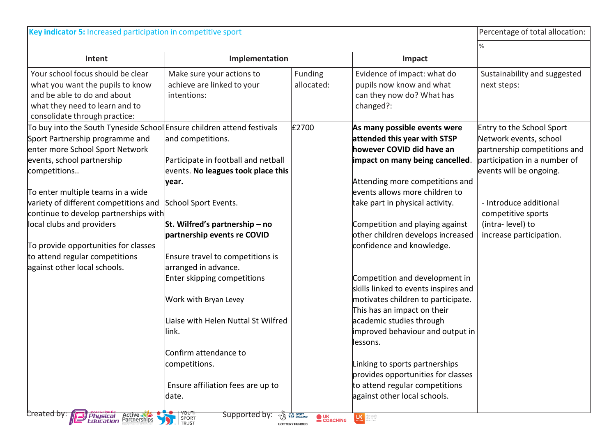|                                                                                                                                                                                            | Key indicator 5: Increased participation in competitive sport                                           |                       |                                                                                                                                                                                                   | Percentage of total allocation:                                                                                                                |
|--------------------------------------------------------------------------------------------------------------------------------------------------------------------------------------------|---------------------------------------------------------------------------------------------------------|-----------------------|---------------------------------------------------------------------------------------------------------------------------------------------------------------------------------------------------|------------------------------------------------------------------------------------------------------------------------------------------------|
|                                                                                                                                                                                            |                                                                                                         |                       |                                                                                                                                                                                                   | $\%$                                                                                                                                           |
| Intent                                                                                                                                                                                     | Implementation                                                                                          |                       | Impact                                                                                                                                                                                            |                                                                                                                                                |
| Your school focus should be clear<br>what you want the pupils to know<br>and be able to do and about<br>what they need to learn and to<br>consolidate through practice:                    | Make sure your actions to<br>achieve are linked to your<br>intentions:                                  | Funding<br>allocated: | Evidence of impact: what do<br>pupils now know and what<br>can they now do? What has<br>changed?:                                                                                                 | Sustainability and suggested<br>next steps:                                                                                                    |
| To buy into the South Tyneside School Ensure children attend festivals<br>Sport Partnership programme and<br>enter more School Sport Network<br>events, school partnership<br>competitions | and competitions.<br>Participate in football and netball<br>events. No leagues took place this<br>year. | £2700                 | As many possible events were<br>attended this year with STSP<br>however COVID did have an<br>impact on many being cancelled.<br>Attending more competitions and<br>events allows more children to | Entry to the School Sport<br>Network events, school<br>partnership competitions and<br>participation in a number of<br>events will be ongoing. |
| To enter multiple teams in a wide<br>variety of different competitions and<br>continue to develop partnerships with                                                                        | School Sport Events.                                                                                    |                       | take part in physical activity.                                                                                                                                                                   | - Introduce additional<br>competitive sports                                                                                                   |
| local clubs and providers<br>To provide opportunities for classes                                                                                                                          | St. Wilfred's partnership $-$ no<br>partnership events re COVID                                         |                       | Competition and playing against<br>other children develops increased<br>confidence and knowledge.                                                                                                 | (intra-level) to<br>increase participation.                                                                                                    |
| to attend regular competitions<br>against other local schools.                                                                                                                             | Ensure travel to competitions is<br>arranged in advance.<br>Enter skipping competitions                 |                       | Competition and development in<br>skills linked to events inspires and                                                                                                                            |                                                                                                                                                |
|                                                                                                                                                                                            | Work with Bryan Levey                                                                                   |                       | motivates children to participate.<br>This has an impact on their                                                                                                                                 |                                                                                                                                                |
|                                                                                                                                                                                            | Liaise with Helen Nuttal St Wilfred<br>link.                                                            |                       | academic studies through<br>improved behaviour and output in<br>llessons.                                                                                                                         |                                                                                                                                                |
|                                                                                                                                                                                            | Confirm attendance to<br>competitions.                                                                  |                       | Linking to sports partnerships                                                                                                                                                                    |                                                                                                                                                |
|                                                                                                                                                                                            | Ensure affiliation fees are up to<br>date.                                                              |                       | provides opportunities for classes<br>to attend regular competitions<br>against other local schools.                                                                                              |                                                                                                                                                |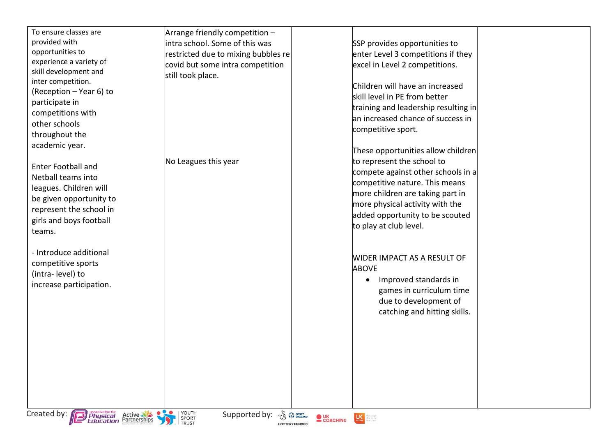| To ensure classes are<br>provided with<br>opportunities to             | Arrange friendly competition -<br>intra school. Some of this was<br>restricted due to mixing bubbles re        | SSP provides opportunities to<br>enter Level 3 competitions if they                  |
|------------------------------------------------------------------------|----------------------------------------------------------------------------------------------------------------|--------------------------------------------------------------------------------------|
| experience a variety of<br>skill development and<br>inter competition. | covid but some intra competition<br>still took place.                                                          | excel in Level 2 competitions.                                                       |
| (Reception - Year 6) to                                                |                                                                                                                | Children will have an increased<br>skill level in PE from better                     |
| participate in<br>competitions with                                    |                                                                                                                | training and leadership resulting in<br>an increased chance of success in            |
| other schools<br>throughout the                                        |                                                                                                                | competitive sport.                                                                   |
| academic year.                                                         |                                                                                                                | These opportunities allow children                                                   |
| <b>Enter Football and</b><br>Netball teams into                        | No Leagues this year                                                                                           | to represent the school to<br>compete against other schools in a                     |
| leagues. Children will                                                 |                                                                                                                | competitive nature. This means<br>more children are taking part in                   |
| be given opportunity to<br>represent the school in                     |                                                                                                                | more physical activity with the<br>added opportunity to be scouted                   |
| girls and boys football<br>teams.                                      |                                                                                                                | to play at club level.                                                               |
| - Introduce additional                                                 |                                                                                                                | WIDER IMPACT AS A RESULT OF                                                          |
| competitive sports<br>(intra-level) to                                 |                                                                                                                | <b>ABOVE</b><br>Improved standards in<br>٠                                           |
| increase participation.                                                |                                                                                                                | games in curriculum time                                                             |
|                                                                        |                                                                                                                | due to development of<br>catching and hitting skills.                                |
|                                                                        |                                                                                                                |                                                                                      |
|                                                                        |                                                                                                                |                                                                                      |
|                                                                        |                                                                                                                |                                                                                      |
|                                                                        |                                                                                                                |                                                                                      |
| Created by: <b>Physical</b> Active                                     | YOUTH<br>Supported by: $\frac{1}{\sqrt{2}}$ $\frac{SPORT}{ENGLAND}$<br>SPORT<br>TRUST<br><b>LOTTERY FUNDED</b> | $\bullet$ UK<br>COACHING<br>$\mathbf{U}$<br>Mare people<br>Mare active<br>Mare often |